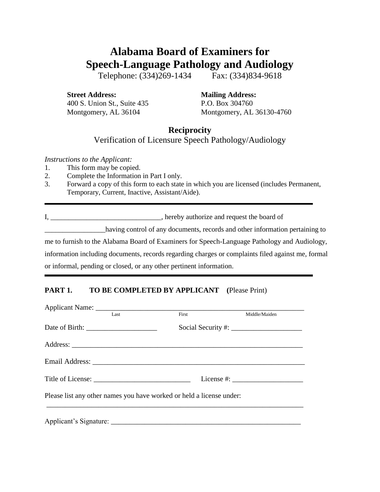# **Alabama Board of Examiners for Speech-Language Pathology and Audiology**

Telephone: (334)269-1434 Fax: (334)834-9618

**Street Address: Mailing Address:** 400 S. Union St., Suite 435 P.O. Box 304760

Montgomery, AL 36104 Montgomery, AL 36130-4760

## **Reciprocity**

#### Verification of Licensure Speech Pathology/Audiology

*Instructions to the Applicant:*

- 1. This form may be copied.
- 2. Complete the Information in Part I only.
- 3. Forward a copy of this form to each state in which you are licensed (includes Permanent, Temporary, Current, Inactive, Assistant/Aide).

I, \_\_\_\_\_\_\_\_\_\_\_\_\_\_\_\_\_\_\_\_\_\_\_\_\_\_\_\_\_\_\_, hereby authorize and request the board of

having control of any documents, records and other information pertaining to me to furnish to the Alabama Board of Examiners for Speech-Language Pathology and Audiology, information including documents, records regarding charges or complaints filed against me, formal or informal, pending or closed, or any other pertinent information.

### **PART 1. TO BE COMPLETED BY APPLICANT (**Please Print)

| Last                                                                 | First | Middle/Maiden                                                                                                                                                                                                                                                                                                    |
|----------------------------------------------------------------------|-------|------------------------------------------------------------------------------------------------------------------------------------------------------------------------------------------------------------------------------------------------------------------------------------------------------------------|
|                                                                      |       |                                                                                                                                                                                                                                                                                                                  |
|                                                                      |       |                                                                                                                                                                                                                                                                                                                  |
|                                                                      |       |                                                                                                                                                                                                                                                                                                                  |
|                                                                      |       | License #: $\frac{1}{2}$ $\frac{1}{2}$ $\frac{1}{2}$ $\frac{1}{2}$ $\frac{1}{2}$ $\frac{1}{2}$ $\frac{1}{2}$ $\frac{1}{2}$ $\frac{1}{2}$ $\frac{1}{2}$ $\frac{1}{2}$ $\frac{1}{2}$ $\frac{1}{2}$ $\frac{1}{2}$ $\frac{1}{2}$ $\frac{1}{2}$ $\frac{1}{2}$ $\frac{1}{2}$ $\frac{1}{2}$ $\frac{1}{2}$ $\frac{1}{2}$ |
| Please list any other names you have worked or held a license under: |       |                                                                                                                                                                                                                                                                                                                  |
|                                                                      |       |                                                                                                                                                                                                                                                                                                                  |